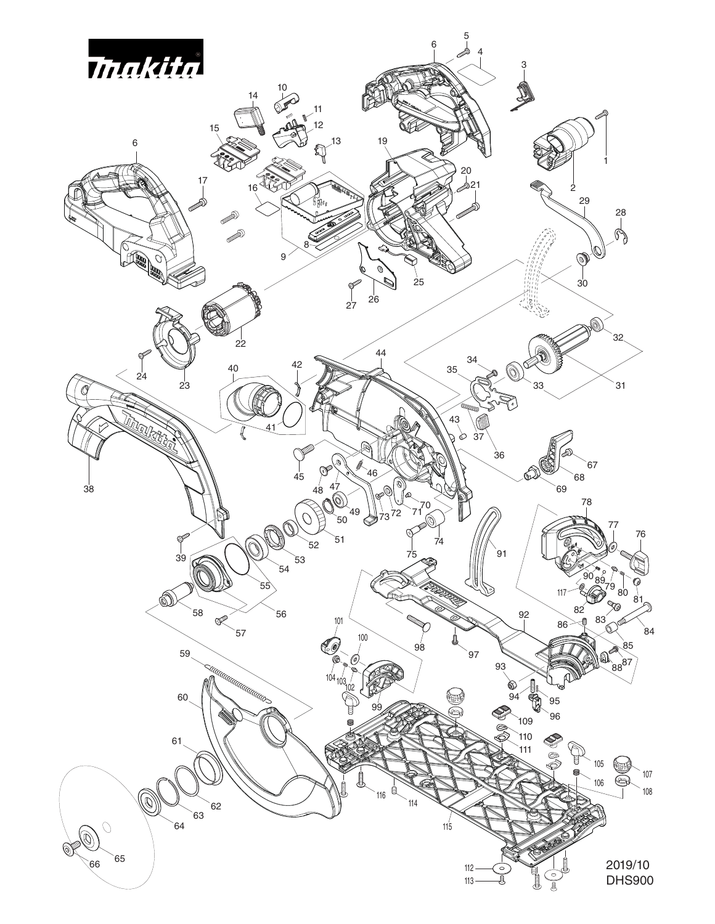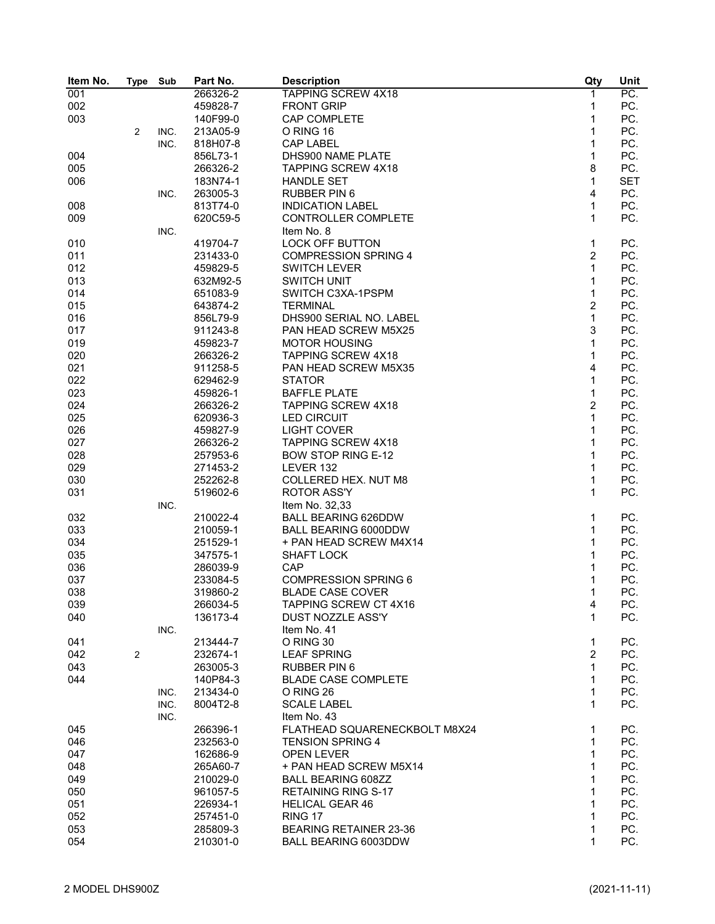| Item No. | <b>Type</b> | Sub  | Part No. | <b>Description</b>            | Qty            | Unit       |
|----------|-------------|------|----------|-------------------------------|----------------|------------|
| 001      |             |      | 266326-2 | TAPPING SCREW 4X18            | 1              | PC.        |
| 002      |             |      | 459828-7 | <b>FRONT GRIP</b>             | 1              | PC.        |
| 003      |             |      | 140F99-0 | <b>CAP COMPLETE</b>           | $\mathbf 1$    | PC.        |
|          | 2           | INC. | 213A05-9 | O RING 16                     | 1              | PC.        |
|          |             | INC. | 818H07-8 | <b>CAP LABEL</b>              | 1              | PC.        |
| 004      |             |      | 856L73-1 | DHS900 NAME PLATE             | 1              | PC.        |
| 005      |             |      | 266326-2 | <b>TAPPING SCREW 4X18</b>     | 8              | PC.        |
| 006      |             |      | 183N74-1 | <b>HANDLE SET</b>             | 1              | <b>SET</b> |
|          |             | INC. | 263005-3 | <b>RUBBER PIN 6</b>           | 4              | PC.        |
| 008      |             |      | 813T74-0 | <b>INDICATION LABEL</b>       | $\mathbf{1}$   | PC.        |
| 009      |             |      | 620C59-5 | CONTROLLER COMPLETE           | 1              | PC.        |
|          |             | INC. |          | Item No. 8                    |                |            |
| 010      |             |      | 419704-7 | <b>LOCK OFF BUTTON</b>        | 1              | PC.        |
| 011      |             |      | 231433-0 | <b>COMPRESSION SPRING 4</b>   | $\overline{2}$ | PC.        |
| 012      |             |      | 459829-5 | <b>SWITCH LEVER</b>           | $\mathbf{1}$   | PC.        |
| 013      |             |      | 632M92-5 | <b>SWITCH UNIT</b>            | $\mathbf{1}$   | PC.        |
| 014      |             |      | 651083-9 | SWITCH C3XA-1PSPM             | $\mathbf{1}$   | PC.        |
| 015      |             |      | 643874-2 | <b>TERMINAL</b>               | $\overline{2}$ | PC.        |
| 016      |             |      | 856L79-9 | DHS900 SERIAL NO. LABEL       | $\mathbf{1}$   | PC.        |
|          |             |      |          |                               |                |            |
| 017      |             |      | 911243-8 | PAN HEAD SCREW M5X25          | 3              | PC.        |
| 019      |             |      | 459823-7 | <b>MOTOR HOUSING</b>          | $\mathbf{1}$   | PC.        |
| 020      |             |      | 266326-2 | <b>TAPPING SCREW 4X18</b>     | 1              | PC.        |
| 021      |             |      | 911258-5 | PAN HEAD SCREW M5X35          | 4              | PC.        |
| 022      |             |      | 629462-9 | <b>STATOR</b>                 | 1              | PC.        |
| 023      |             |      | 459826-1 | <b>BAFFLE PLATE</b>           | $\mathbf{1}$   | PC.        |
| 024      |             |      | 266326-2 | <b>TAPPING SCREW 4X18</b>     | $\overline{2}$ | PC.        |
| 025      |             |      | 620936-3 | <b>LED CIRCUIT</b>            | $\mathbf 1$    | PC.        |
| 026      |             |      | 459827-9 | <b>LIGHT COVER</b>            | 1              | PC.        |
| 027      |             |      | 266326-2 | <b>TAPPING SCREW 4X18</b>     | 1              | PC.        |
| 028      |             |      | 257953-6 | <b>BOW STOP RING E-12</b>     | 1              | PC.        |
| 029      |             |      | 271453-2 | LEVER 132                     | 1              | PC.        |
| 030      |             |      | 252262-8 | COLLERED HEX. NUT M8          | 1              | PC.        |
| 031      |             |      | 519602-6 | <b>ROTOR ASS'Y</b>            | 1              | PC.        |
|          |             | INC. |          | Item No. 32,33                |                |            |
| 032      |             |      | 210022-4 | <b>BALL BEARING 626DDW</b>    | 1              | PC.        |
| 033      |             |      | 210059-1 | <b>BALL BEARING 6000DDW</b>   | 1              | PC.        |
| 034      |             |      | 251529-1 | + PAN HEAD SCREW M4X14        | 1              | PC.        |
| 035      |             |      | 347575-1 | <b>SHAFT LOCK</b>             | 1              | PC.        |
| 036      |             |      | 286039-9 | CAP                           | 1              | PC.        |
| 037      |             |      | 233084-5 | <b>COMPRESSION SPRING 6</b>   | 1              | PC.        |
| 038      |             |      | 319860-2 | <b>BLADE CASE COVER</b>       | 1              | PC.        |
| 039      |             |      | 266034-5 | TAPPING SCREW CT 4X16         | 4              | PC.        |
| 040      |             |      | 136173-4 | DUST NOZZLE ASS'Y             | 1              | PC.        |
|          |             | INC. |          | Item No. 41                   |                |            |
| 041      |             |      | 213444-7 | O RING 30                     | 1              | PC.        |
| 042      | 2           |      | 232674-1 | <b>LEAF SPRING</b>            | $\overline{c}$ | PC.        |
| 043      |             |      | 263005-3 | RUBBER PIN 6                  | 1              | PC.        |
| 044      |             |      | 140P84-3 | <b>BLADE CASE COMPLETE</b>    | 1              | PC.        |
|          |             | INC. | 213434-0 | O RING 26                     | 1              | PC.        |
|          |             | INC. | 8004T2-8 | <b>SCALE LABEL</b>            | 1              | PC.        |
|          |             |      |          |                               |                |            |
|          |             | INC. |          | Item No. 43                   |                |            |
| 045      |             |      | 266396-1 | FLATHEAD SQUARENECKBOLT M8X24 | 1              | PC.        |
| 046      |             |      | 232563-0 | <b>TENSION SPRING 4</b>       | 1              | PC.        |
| 047      |             |      | 162686-9 | OPEN LEVER                    | 1              | PC.        |
| 048      |             |      | 265A60-7 | + PAN HEAD SCREW M5X14        | 1              | PC.        |
| 049      |             |      | 210029-0 | <b>BALL BEARING 608ZZ</b>     | 1              | PC.        |
| 050      |             |      | 961057-5 | <b>RETAINING RING S-17</b>    | 1              | PC.        |
| 051      |             |      | 226934-1 | <b>HELICAL GEAR 46</b>        | 1              | PC.        |
| 052      |             |      | 257451-0 | RING 17                       | 1              | PC.        |
| 053      |             |      | 285809-3 | BEARING RETAINER 23-36        | 1              | PC.        |
| 054      |             |      | 210301-0 | <b>BALL BEARING 6003DDW</b>   | 1              | PC.        |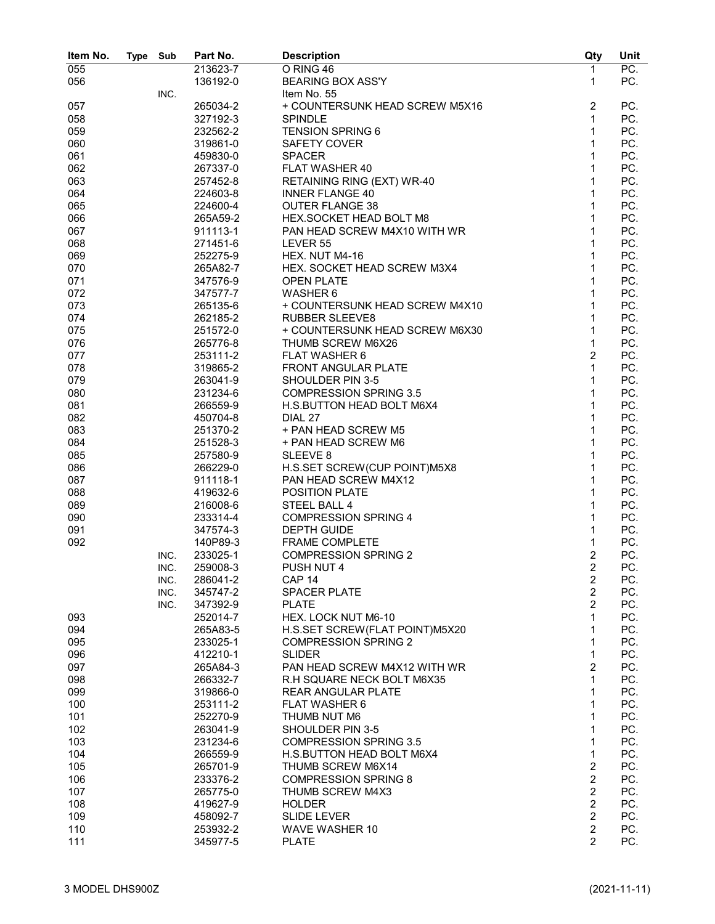| Item No. | <b>Type</b> | Sub  | Part No. | <b>Description</b>                                            | Qty              | Unit |
|----------|-------------|------|----------|---------------------------------------------------------------|------------------|------|
| 055      |             |      | 213623-7 | O RING 46                                                     | 1                | PC.  |
| 056      |             |      | 136192-0 | <b>BEARING BOX ASS'Y</b>                                      | $\mathbf{1}$     | PC.  |
|          |             | INC. |          | Item No. 55                                                   |                  |      |
| 057      |             |      | 265034-2 | + COUNTERSUNK HEAD SCREW M5X16                                | $\overline{c}$   | PC.  |
| 058      |             |      | 327192-3 | <b>SPINDLE</b>                                                | $\mathbf 1$      | PC.  |
| 059      |             |      | 232562-2 | <b>TENSION SPRING 6</b>                                       | $\mathbf{1}$     | PC.  |
| 060      |             |      | 319861-0 | SAFETY COVER                                                  | $\mathbf{1}$     | PC.  |
| 061      |             |      | 459830-0 | <b>SPACER</b>                                                 | $\mathbf{1}$     | PC.  |
| 062      |             |      | 267337-0 | FLAT WASHER 40                                                | $\mathbf{1}$     | PC.  |
| 063      |             |      | 257452-8 | RETAINING RING (EXT) WR-40                                    | $\mathbf{1}$     | PC.  |
| 064      |             |      | 224603-8 | <b>INNER FLANGE 40</b>                                        | 1                | PC.  |
| 065      |             |      |          |                                                               | 1                | PC.  |
|          |             |      | 224600-4 | <b>OUTER FLANGE 38</b>                                        | 1                | PC.  |
| 066      |             |      | 265A59-2 | HEX.SOCKET HEAD BOLT M8                                       |                  |      |
| 067      |             |      | 911113-1 | PAN HEAD SCREW M4X10 WITH WR                                  | $\mathbf{1}$     | PC.  |
| 068      |             |      | 271451-6 | LEVER 55                                                      | $\mathbf{1}$     | PC.  |
| 069      |             |      | 252275-9 | HEX. NUT M4-16                                                | $\mathbf{1}$     | PC.  |
| 070      |             |      | 265A82-7 | HEX. SOCKET HEAD SCREW M3X4                                   | 1                | PC.  |
| 071      |             |      | 347576-9 | <b>OPEN PLATE</b>                                             | 1                | PC.  |
| 072      |             |      | 347577-7 | WASHER 6                                                      | 1                | PC.  |
| 073      |             |      | 265135-6 | + COUNTERSUNK HEAD SCREW M4X10                                | $\mathbf 1$      | PC.  |
| 074      |             |      | 262185-2 | <b>RUBBER SLEEVE8</b>                                         | $\mathbf{1}$     | PC.  |
| 075      |             |      | 251572-0 | + COUNTERSUNK HEAD SCREW M6X30                                | $\mathbf{1}$     | PC.  |
| 076      |             |      | 265776-8 | THUMB SCREW M6X26                                             | $\mathbf{1}$     | PC.  |
| 077      |             |      | 253111-2 | <b>FLAT WASHER 6</b>                                          | $\overline{2}$   | PC.  |
| 078      |             |      | 319865-2 | <b>FRONT ANGULAR PLATE</b>                                    | $\mathbf{1}$     | PC.  |
| 079      |             |      | 263041-9 | SHOULDER PIN 3-5                                              | 1                | PC.  |
| 080      |             |      | 231234-6 | <b>COMPRESSION SPRING 3.5</b>                                 | 1                | PC.  |
| 081      |             |      | 266559-9 | H.S.BUTTON HEAD BOLT M6X4                                     | $\mathbf{1}$     | PC.  |
| 082      |             |      | 450704-8 | DIAL 27                                                       | $\mathbf{1}$     | PC.  |
| 083      |             |      | 251370-2 | + PAN HEAD SCREW M5                                           | $\mathbf{1}$     | PC.  |
| 084      |             |      | 251528-3 | + PAN HEAD SCREW M6                                           | 1                | PC.  |
| 085      |             |      | 257580-9 | SLEEVE <sub>8</sub>                                           | 1                | PC.  |
| 086      |             |      | 266229-0 | H.S.SET SCREW(CUP POINT)M5X8                                  | 1                | PC.  |
| 087      |             |      | 911118-1 | PAN HEAD SCREW M4X12                                          | $\mathbf{1}$     | PC.  |
| 088      |             |      | 419632-6 | <b>POSITION PLATE</b>                                         | 1                | PC.  |
| 089      |             |      | 216008-6 | STEEL BALL 4                                                  | 1                | PC.  |
| 090      |             |      | 233314-4 | <b>COMPRESSION SPRING 4</b>                                   | 1                | PC.  |
| 091      |             |      | 347574-3 | <b>DEPTH GUIDE</b>                                            | 1                | PC.  |
| 092      |             |      | 140P89-3 | <b>FRAME COMPLETE</b>                                         | 1                | PC.  |
|          |             | INC. | 233025-1 | <b>COMPRESSION SPRING 2</b>                                   | $\overline{c}$   | PC.  |
|          |             | INC. | 259008-3 | PUSH NUT 4                                                    | $\overline{c}$   | PC.  |
|          |             | INC. | 286041-2 | CAP <sub>14</sub>                                             | $\boldsymbol{2}$ | PC.  |
|          |             | INC. | 345747-2 | <b>SPACER PLATE</b>                                           | $\overline{2}$   | PC.  |
|          |             | INC. | 347392-9 | <b>PLATE</b>                                                  | $\overline{2}$   | PC.  |
| 093      |             |      |          | HEX. LOCK NUT M6-10                                           | 1                | PC.  |
|          |             |      | 252014-7 |                                                               | 1                |      |
| 094      |             |      | 265A83-5 | H.S.SET SCREW(FLAT POINT)M5X20<br><b>COMPRESSION SPRING 2</b> | 1                | PC.  |
| 095      |             |      | 233025-1 |                                                               |                  | PC.  |
| 096      |             |      | 412210-1 | <b>SLIDER</b>                                                 | $\mathbf{1}$     | PC.  |
| 097      |             |      | 265A84-3 | PAN HEAD SCREW M4X12 WITH WR                                  | $\overline{2}$   | PC.  |
| 098      |             |      | 266332-7 | R.H SQUARE NECK BOLT M6X35                                    | $\mathbf{1}$     | PC.  |
| 099      |             |      | 319866-0 | <b>REAR ANGULAR PLATE</b>                                     | 1                | PC.  |
| 100      |             |      | 253111-2 | <b>FLAT WASHER 6</b>                                          | 1                | PC.  |
| 101      |             |      | 252270-9 | THUMB NUT M6                                                  | 1                | PC.  |
| 102      |             |      | 263041-9 | SHOULDER PIN 3-5                                              | 1                | PC.  |
| 103      |             |      | 231234-6 | <b>COMPRESSION SPRING 3.5</b>                                 | 1                | PC.  |
| 104      |             |      | 266559-9 | H.S.BUTTON HEAD BOLT M6X4                                     | $\mathbf{1}$     | PC.  |
| 105      |             |      | 265701-9 | THUMB SCREW M6X14                                             | $\boldsymbol{2}$ | PC.  |
| 106      |             |      | 233376-2 | <b>COMPRESSION SPRING 8</b>                                   | $\overline{c}$   | PC.  |
| 107      |             |      | 265775-0 | <b>THUMB SCREW M4X3</b>                                       | $\overline{c}$   | PC.  |
| 108      |             |      | 419627-9 | <b>HOLDER</b>                                                 | $\overline{c}$   | PC.  |
| 109      |             |      | 458092-7 | <b>SLIDE LEVER</b>                                            | $\overline{c}$   | PC.  |
| 110      |             |      | 253932-2 | <b>WAVE WASHER 10</b>                                         | $\overline{c}$   | PC.  |
| 111      |             |      | 345977-5 | <b>PLATE</b>                                                  | $\overline{2}$   | PC.  |